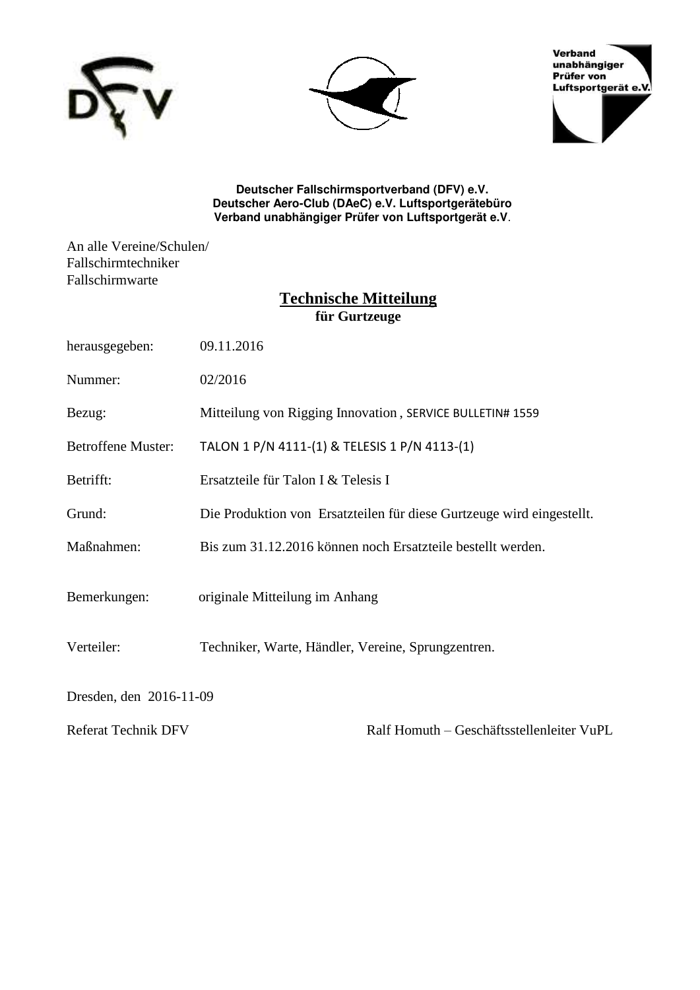





**Deutscher Fallschirmsportverband (DFV) e.V. Deutscher Aero-Club (DAeC) e.V. Luftsportgerätebüro Verband unabhängiger Prüfer von Luftsportgerät e.V**.

An alle Vereine/Schulen/ Fallschirmtechniker Fallschirmwarte

# **Technische Mitteilung für Gurtzeuge**

| herausgegeben:             | 09.11.2016                                                            |
|----------------------------|-----------------------------------------------------------------------|
| Nummer:                    | 02/2016                                                               |
| Bezug:                     | Mitteilung von Rigging Innovation, SERVICE BULLETIN# 1559             |
| <b>Betroffene Muster:</b>  | TALON 1 P/N 4111-(1) & TELESIS 1 P/N 4113-(1)                         |
| Betrifft:                  | Ersatzteile für Talon I & Telesis I                                   |
| Grund:                     | Die Produktion von Ersatzteilen für diese Gurtzeuge wird eingestellt. |
| Maßnahmen:                 | Bis zum 31.12.2016 können noch Ersatzteile bestellt werden.           |
| Bemerkungen:               | originale Mitteilung im Anhang                                        |
| Verteiler:                 | Techniker, Warte, Händler, Vereine, Sprungzentren.                    |
| Dresden, den 2016-11-09    |                                                                       |
| <b>Referat Technik DFV</b> | Ralf Homuth - Geschäftsstellenleiter VuPL                             |